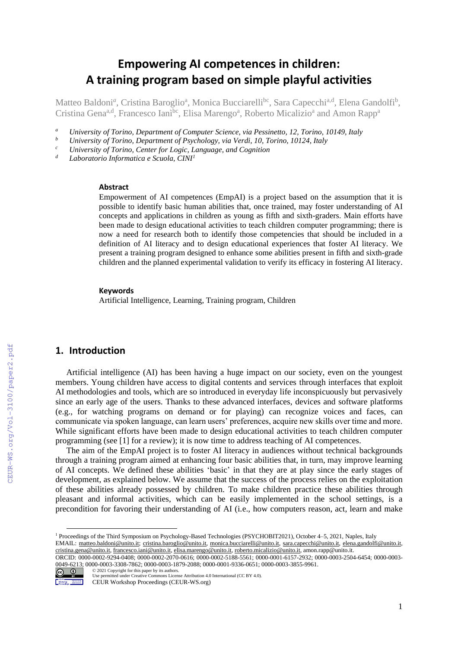# **Empowering AI competences in children: A training program based on simple playful activities**

Matteo Baldoni<sup>a</sup>, Cristina Baroglio<sup>a</sup>, Monica Bucciarelli<sup>bc</sup>, Sara Capecchi<sup>a,d</sup>, Elena Gandolfi<sup>b</sup>, Cristina Gena<sup>a,d</sup>, Francesco Ianì<sup>bc</sup>, Elisa Marengo<sup>a</sup>, Roberto Micalizio<sup>a</sup> and Amon Rapp<sup>a</sup>

- *<sup>a</sup> University of Torino, Department of Computer Science, via Pessinetto, 12, Torino, 10149, Italy*
- *<sup>b</sup> University of Torino, Department of Psychology, via Verdi, 10, Torino, 10124, Italy*
- *<sup>c</sup> University of Torino, Center for Logic, Language, and Cognition*
- *<sup>d</sup> Laboratorio Informatica e Scuola, CINI<sup>1</sup>*

#### **Abstract**

Empowerment of AI competences (EmpAI) is a project based on the assumption that it is possible to identify basic human abilities that, once trained, may foster understanding of AI concepts and applications in children as young as fifth and sixth-graders. Main efforts have been made to design educational activities to teach children computer programming; there is now a need for research both to identify those competencies that should be included in a definition of AI literacy and to design educational experiences that foster AI literacy. We present a training program designed to enhance some abilities present in fifth and sixth-grade children and the planned experimental validation to verify its efficacy in fostering AI literacy.

#### **Keywords**

Artificial Intelligence, Learning, Training program, Children

## **1. Introduction**

Artificial intelligence (AI) has been having a huge impact on our society, even on the youngest members. Young children have access to digital contents and services through interfaces that exploit AI methodologies and tools, which are so introduced in everyday life inconspicuously but pervasively since an early age of the users. Thanks to these advanced interfaces, devices and software platforms (e.g., for watching programs on demand or for playing) can recognize voices and faces, can communicate via spoken language, can learn users' preferences, acquire new skills over time and more. While significant efforts have been made to design educational activities to teach children computer programming (see [1] for a review); it is now time to address teaching of AI competences.

The aim of the EmpAI project is to foster AI literacy in audiences without technical backgrounds through a training program aimed at enhancing four basic abilities that, in turn, may improve learning of AI concepts. We defined these abilities 'basic' in that they are at play since the early stages of development, as explained below. We assume that the success of the process relies on the exploitation of these abilities already possessed by children. To make children practice these abilities through pleasant and informal activities, which can be easily implemented in the school settings, is a precondition for favoring their understanding of AI (i.e., how computers reason, act, learn and make

ORCID: 0000-0002-9294-0408; 0000-0002-2070-0616; 0000-0002-5188-5561; 0000-0001-6157-2932; 0000-0003-2504-6454; 0000-0003- 0049-6213; 0000-0003-3308-7862; 0000-0003-1879-2088; 0000-0001-9336-0651; 0000-0003-3855-9961.<br>
<sup>2021</sup> Copyright for this paper by its authors. ©️ 2021 Copyright for this paper by its authors.



Use permitted under Creative Commons License Attribution 4.0 International (CC BY 4.0).

<sup>1</sup> Proceedings of the Third Symposium on Psychology-Based Technologies (PSYCHOBIT2021), October 4–5, 2021, Naples, Italy

EMAIL: [matteo.baldoni@unito.it;](mailto:matteo.baldoni@unito.it) [cristina.baroglio@unito.it,](mailto:cristina.baroglio@unito.it) [monica.bucciarelli@unito.it,](mailto:monica.bucciarelli@unito.it) [sara.capecchi@unito.it,](mailto:sara.capecchi@unito.it) [elena.gandolfi@unito.it,](mailto:elena.gandolfi@unito.it) [cristina.gena@unito.it,](mailto:cristina.gena@unito.it) [francesco.iani@unito.it,](mailto:francesco.iani@unito.it) [elisa.marengo@unito.it,](mailto:elisa.marengo@unito.it) [roberto.micalizio@unito.it,](mailto:roberto.micalizio@unito.it) amon.rapp@unito.it.

CEUR Workshop Proceedings (CEUR-WS.org)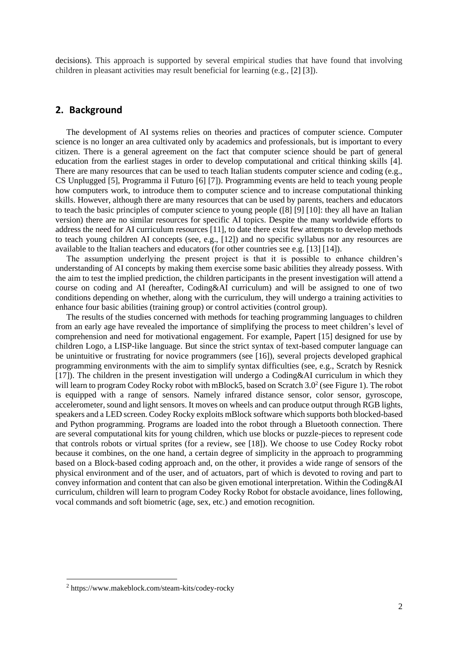decisions). This approach is supported by several empirical studies that have found that involving children in pleasant activities may result beneficial for learning (e.g., [2] [3]).

### **2. Background**

The development of AI systems relies on theories and practices of computer science. Computer science is no longer an area cultivated only by academics and professionals, but is important to every citizen. There is a general agreement on the fact that computer science should be part of general education from the earliest stages in order to develop computational and critical thinking skills [4]. There are many resources that can be used to teach Italian students computer science and coding (e.g., CS Unplugged [5], Programma il Futuro [6] [7]). Programming events are held to teach young people how computers work, to introduce them to computer science and to increase computational thinking skills. However, although there are many resources that can be used by parents, teachers and educators to teach the basic principles of computer science to young people ([8] [9] [10]: they all have an Italian version) there are no similar resources for specific AI topics. Despite the many worldwide efforts to address the need for AI curriculum resources [11], to date there exist few attempts to develop methods to teach young children AI concepts (see, e.g., [12]) and no specific syllabus nor any resources are available to the Italian teachers and educators (for other countries see e.g. [13] [14]).

The assumption underlying the present project is that it is possible to enhance children's understanding of AI concepts by making them exercise some basic abilities they already possess. With the aim to test the implied prediction, the children participants in the present investigation will attend a course on coding and AI (hereafter, Coding&AI curriculum) and will be assigned to one of two conditions depending on whether, along with the curriculum, they will undergo a training activities to enhance four basic abilities (training group) or control activities (control group).

The results of the studies concerned with methods for teaching programming languages to children from an early age have revealed the importance of simplifying the process to meet children's level of comprehension and need for motivational engagement. For example, Papert [15] designed for use by children Logo, a LISP-like language. But since the strict syntax of text-based computer language can be unintuitive or frustrating for novice programmers (see [16]), several projects developed graphical programming environments with the aim to simplify syntax difficulties (see, e.g., Scratch by Resnick  $[17]$ ). The children in the present investigation will undergo a Coding & AI curriculum in which they will learn to program Codey Rocky robot with mBlock5, based on Scratch 3.0<sup>2</sup> (see Figure 1). The robot is equipped with a range of sensors. Namely infrared distance sensor, color sensor, gyroscope, accelerometer, sound and light sensors. It moves on wheels and can produce output through RGB lights, speakers and a LED screen. Codey Rocky exploits mBlock software which supports both blocked-based and Python programming. Programs are loaded into the robot through a Bluetooth connection. There are several computational kits for young children, which use blocks or puzzle-pieces to represent code that controls robots or virtual sprites (for a review, see [18]). We choose to use Codey Rocky robot because it combines, on the one hand, a certain degree of simplicity in the approach to programming based on a Block-based coding approach and, on the other, it provides a wide range of sensors of the physical environment and of the user, and of actuators, part of which is devoted to roving and part to convey information and content that can also be given emotional interpretation. Within the Coding&AI curriculum, children will learn to program Codey Rocky Robot for obstacle avoidance, lines following, vocal commands and soft biometric (age, sex, etc.) and emotion recognition.

<sup>2</sup> https://www.makeblock.com/steam-kits/codey-rocky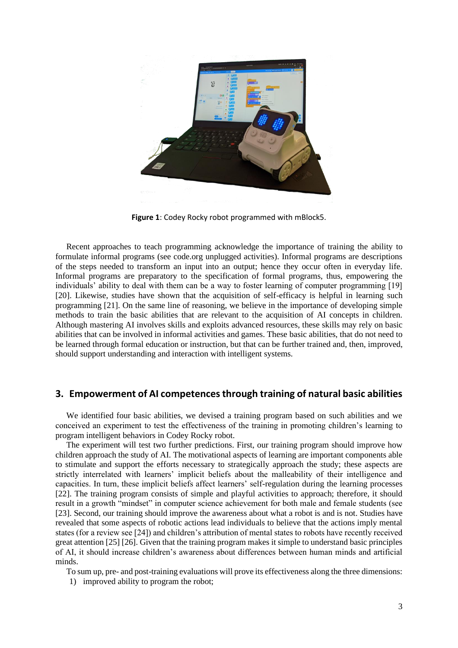

**Figure 1**: Codey Rocky robot programmed with mBlock5.

Recent approaches to teach programming acknowledge the importance of training the ability to formulate informal programs (see code.org unplugged activities). Informal programs are descriptions of the steps needed to transform an input into an output; hence they occur often in everyday life. Informal programs are preparatory to the specification of formal programs, thus, empowering the individuals' ability to deal with them can be a way to foster learning of computer programming [19] [20]. Likewise, studies have shown that the acquisition of self-efficacy is helpful in learning such programming [21]. On the same line of reasoning, we believe in the importance of developing simple methods to train the basic abilities that are relevant to the acquisition of AI concepts in children. Although mastering AI involves skills and exploits advanced resources, these skills may rely on basic abilities that can be involved in informal activities and games. These basic abilities, that do not need to be learned through formal education or instruction, but that can be further trained and, then, improved, should support understanding and interaction with intelligent systems.

### **3. Empowerment of AI competences through training of natural basic abilities**

We identified four basic abilities, we devised a training program based on such abilities and we conceived an experiment to test the effectiveness of the training in promoting children's learning to program intelligent behaviors in Codey Rocky robot.

The experiment will test two further predictions. First, our training program should improve how children approach the study of AI. The motivational aspects of learning are important components able to stimulate and support the efforts necessary to strategically approach the study; these aspects are strictly interrelated with learners' implicit beliefs about the malleability of their intelligence and capacities. In turn, these implicit beliefs affect learners' self-regulation during the learning processes [22]. The training program consists of simple and playful activities to approach; therefore, it should result in a growth "mindset" in computer science achievement for both male and female students (see [23]. Second, our training should improve the awareness about what a robot is and is not. Studies have revealed that some aspects of robotic actions lead individuals to believe that the actions imply mental states (for a review see [24]) and children's attribution of mental states to robots have recently received great attention [25] [26]. Given that the training program makes it simple to understand basic principles of AI, it should increase children's awareness about differences between human minds and artificial minds.

To sum up, pre- and post-training evaluations will prove its effectiveness along the three dimensions:

1) improved ability to program the robot;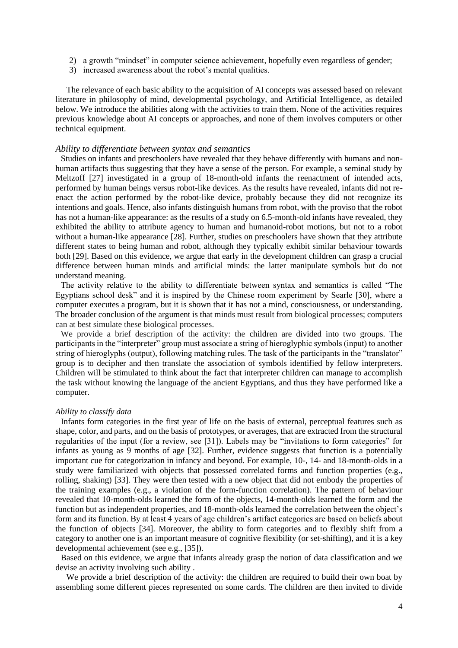- 2) a growth "mindset" in computer science achievement, hopefully even regardless of gender;
- 3) increased awareness about the robot's mental qualities.

The relevance of each basic ability to the acquisition of AI concepts was assessed based on relevant literature in philosophy of mind, developmental psychology, and Artificial Intelligence, as detailed below. We introduce the abilities along with the activities to train them. None of the activities requires previous knowledge about AI concepts or approaches, and none of them involves computers or other technical equipment.

#### *Ability to differentiate between syntax and semantics*

Studies on infants and preschoolers have revealed that they behave differently with humans and nonhuman artifacts thus suggesting that they have a sense of the person. For example, a seminal study by Meltzoff [27] investigated in a group of 18-month-old infants the reenactment of intended acts, performed by human beings versus robot-like devices. As the results have revealed, infants did not reenact the action performed by the robot-like device, probably because they did not recognize its intentions and goals. Hence, also infants distinguish humans from robot, with the proviso that the robot has not a human-like appearance: as the results of a study on 6.5-month-old infants have revealed, they exhibited the ability to attribute agency to human and humanoid-robot motions, but not to a robot without a human-like appearance [28]. Further, studies on preschoolers have shown that they attribute different states to being human and robot, although they typically exhibit similar behaviour towards both [29]. Based on this evidence, we argue that early in the development children can grasp a crucial difference between human minds and artificial minds: the latter manipulate symbols but do not understand meaning.

The activity relative to the ability to differentiate between syntax and semantics is called "The Egyptians school desk" and it is inspired by the Chinese room experiment by Searle [30], where a computer executes a program, but it is shown that it has not a mind, consciousness, or understanding. The broader conclusion of the argument is that minds must result from biological processes; computers can at best simulate these biological processes.

We provide a brief description of the activity: the children are divided into two groups. The participants in the "interpreter" group must associate a string of hieroglyphic symbols (input) to another string of hieroglyphs (output), following matching rules. The task of the participants in the "translator" group is to decipher and then translate the association of symbols identified by fellow interpreters. Children will be stimulated to think about the fact that interpreter children can manage to accomplish the task without knowing the language of the ancient Egyptians, and thus they have performed like a computer.

#### *Ability to classify data*

Infants form categories in the first year of life on the basis of external, perceptual features such as shape, color, and parts, and on the basis of prototypes, or averages, that are extracted from the structural regularities of the input (for a review, see [31]). Labels may be "invitations to form categories" for infants as young as 9 months of age [32]. Further, evidence suggests that function is a potentially important cue for categorization in infancy and beyond. For example, 10-, 14- and 18-month-olds in a study were familiarized with objects that possessed correlated forms and function properties (e.g., rolling, shaking) [33]. They were then tested with a new object that did not embody the properties of the training examples (e.g., a violation of the form-function correlation). The pattern of behaviour revealed that 10-month-olds learned the form of the objects, 14-month-olds learned the form and the function but as independent properties, and 18-month-olds learned the correlation between the object's form and its function. By at least 4 years of age children's artifact categories are based on beliefs about the function of objects [34]. Moreover, the ability to form categories and to flexibly shift from a category to another one is an important measure of cognitive flexibility (or set-shifting), and it is a key developmental achievement (see e.g., [35]).

Based on this evidence, we argue that infants already grasp the notion of data classification and we devise an activity involving such ability .

We provide a brief description of the activity: the children are required to build their own boat by assembling some different pieces represented on some cards. The children are then invited to divide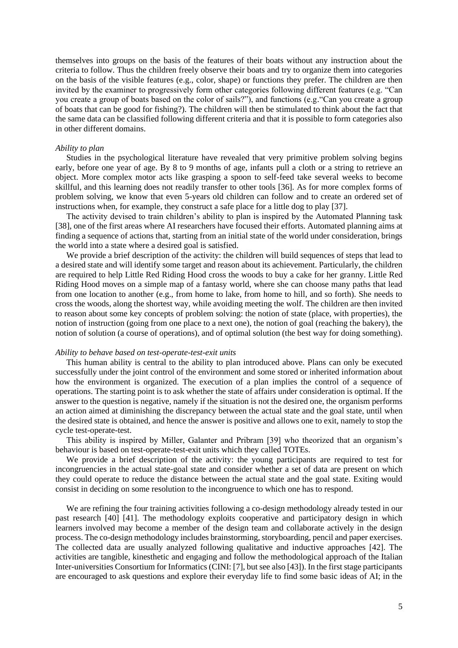themselves into groups on the basis of the features of their boats without any instruction about the criteria to follow. Thus the children freely observe their boats and try to organize them into categories on the basis of the visible features (e.g., color, shape) or functions they prefer. The children are then invited by the examiner to progressively form other categories following different features (e.g. "Can you create a group of boats based on the color of sails?"), and functions (e.g."Can you create a group of boats that can be good for fishing?). The children will then be stimulated to think about the fact that the same data can be classified following different criteria and that it is possible to form categories also in other different domains.

#### *Ability to plan*

Studies in the psychological literature have revealed that very primitive problem solving begins early, before one year of age. By 8 to 9 months of age, infants pull a cloth or a string to retrieve an object. More complex motor acts like grasping a spoon to self-feed take several weeks to become skillful, and this learning does not readily transfer to other tools [36]. As for more complex forms of problem solving, we know that even 5-years old children can follow and to create an ordered set of instructions when, for example, they construct a safe place for a little dog to play [37].

The activity devised to train children's ability to plan is inspired by the Automated Planning task [38], one of the first areas where AI researchers have focused their efforts. Automated planning aims at finding a sequence of actions that, starting from an initial state of the world under consideration, brings the world into a state where a desired goal is satisfied.

We provide a brief description of the activity: the children will build sequences of steps that lead to a desired state and will identify some target and reason about its achievement. Particularly, the children are required to help Little Red Riding Hood cross the woods to buy a cake for her granny. Little Red Riding Hood moves on a simple map of a fantasy world, where she can choose many paths that lead from one location to another (e.g., from home to lake, from home to hill, and so forth). She needs to cross the woods, along the shortest way, while avoiding meeting the wolf. The children are then invited to reason about some key concepts of problem solving: the notion of state (place, with properties), the notion of instruction (going from one place to a next one), the notion of goal (reaching the bakery), the notion of solution (a course of operations), and of optimal solution (the best way for doing something).

#### *Ability to behave based on test-operate-test-exit units*

This human ability is central to the ability to plan introduced above. Plans can only be executed successfully under the joint control of the environment and some stored or inherited information about how the environment is organized. The execution of a plan implies the control of a sequence of operations. The starting point is to ask whether the state of affairs under consideration is optimal. If the answer to the question is negative, namely if the situation is not the desired one, the organism performs an action aimed at diminishing the discrepancy between the actual state and the goal state, until when the desired state is obtained, and hence the answer is positive and allows one to exit, namely to stop the cycle test-operate-test.

This ability is inspired by Miller, Galanter and Pribram [39] who theorized that an organism's behaviour is based on test-operate-test-exit units which they called TOTEs.

We provide a brief description of the activity: the young participants are required to test for incongruencies in the actual state-goal state and consider whether a set of data are present on which they could operate to reduce the distance between the actual state and the goal state. Exiting would consist in deciding on some resolution to the incongruence to which one has to respond.

We are refining the four training activities following a co-design methodology already tested in our past research [40] [41]. The methodology exploits cooperative and participatory design in which learners involved may become a member of the design team and collaborate actively in the design process. The co-design methodology includes brainstorming, storyboarding, pencil and paper exercises. The collected data are usually analyzed following qualitative and inductive approaches [42]. The activities are tangible, kinesthetic and engaging and follow the methodological approach of the Italian Inter-universities Consortium for Informatics (CINI: [7], but see also [43]). In the first stage participants are encouraged to ask questions and explore their everyday life to find some basic ideas of AI; in the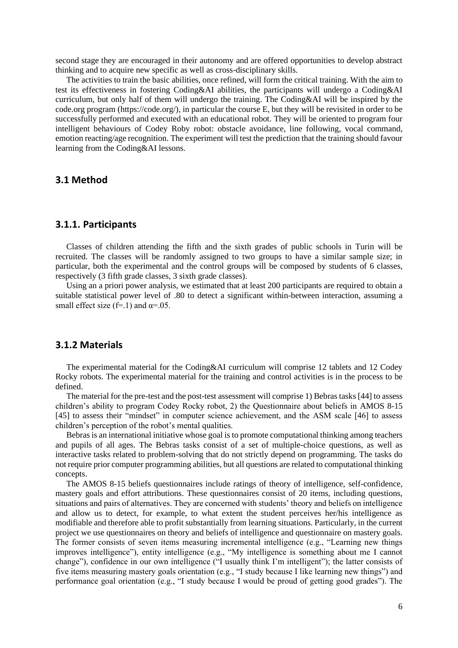second stage they are encouraged in their autonomy and are offered opportunities to develop abstract thinking and to acquire new specific as well as cross-disciplinary skills.

The activities to train the basic abilities, once refined, will form the critical training. With the aim to test its effectiveness in fostering Coding&AI abilities, the participants will undergo a Coding&AI curriculum, but only half of them will undergo the training. The Coding&AI will be inspired by the code.org program [\(https://code.org/\)](https://code.org/), in particular the course E, but they will be revisited in order to be successfully performed and executed with an educational robot. They will be oriented to program four intelligent behaviours of Codey Roby robot: obstacle avoidance, line following, vocal command, emotion reacting/age recognition. The experiment will test the prediction that the training should favour learning from the Coding&AI lessons.

### **3.1 Method**

### **3.1.1. Participants**

Classes of children attending the fifth and the sixth grades of public schools in Turin will be recruited. The classes will be randomly assigned to two groups to have a similar sample size; in particular, both the experimental and the control groups will be composed by students of 6 classes, respectively (3 fifth grade classes, 3 sixth grade classes).

Using an a priori power analysis, we estimated that at least 200 participants are required to obtain a suitable statistical power level of .80 to detect a significant within-between interaction, assuming a small effect size (f=.1) and  $\alpha$ =.05.

### **3.1.2 Materials**

The experimental material for the Coding&AI curriculum will comprise 12 tablets and 12 Codey Rocky robots. The experimental material for the training and control activities is in the process to be defined.

The material for the pre-test and the post-test assessment will comprise 1) Bebras tasks [44] to assess children's ability to program Codey Rocky robot, 2) the Questionnaire about beliefs in AMOS 8-15 [45] to assess their "mindset" in computer science achievement, and the ASM scale [46] to assess children's perception of the robot's mental qualities.

Bebrasis an international initiative whose goal is to promote computational thinking among teachers and pupils of all ages. The Bebras tasks consist of a set of multiple-choice questions, as well as interactive tasks related to problem-solving that do not strictly depend on programming. The tasks do not require prior computer programming abilities, but all questions are related to computational thinking concepts.

The AMOS 8-15 beliefs questionnaires include ratings of theory of intelligence, self-confidence, mastery goals and effort attributions. These questionnaires consist of 20 items, including questions, situations and pairs of alternatives. They are concerned with students' theory and beliefs on intelligence and allow us to detect, for example, to what extent the student perceives her/his intelligence as modifiable and therefore able to profit substantially from learning situations. Particularly, in the current project we use questionnaires on theory and beliefs of intelligence and questionnaire on mastery goals. The former consists of seven items measuring incremental intelligence (e.g., "Learning new things improves intelligence"), entity intelligence (e.g., "My intelligence is something about me I cannot change"), confidence in our own intelligence ("I usually think I'm intelligent"); the latter consists of five items measuring mastery goals orientation (e.g., "I study because I like learning new things") and performance goal orientation (e.g., "I study because I would be proud of getting good grades"). The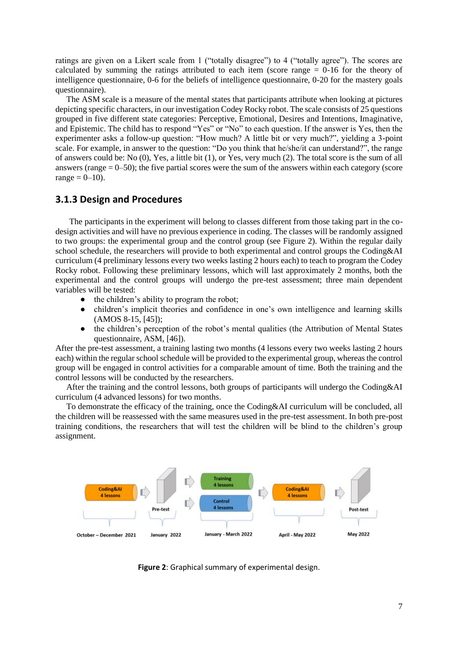ratings are given on a Likert scale from 1 ("totally disagree") to 4 ("totally agree"). The scores are calculated by summing the ratings attributed to each item (score range = 0-16 for the theory of intelligence questionnaire, 0-6 for the beliefs of intelligence questionnaire, 0-20 for the mastery goals questionnaire).

The ASM scale is a measure of the mental states that participants attribute when looking at pictures depicting specific characters, in our investigation Codey Rocky robot. The scale consists of 25 questions grouped in five different state categories: Perceptive, Emotional, Desires and Intentions, Imaginative, and Epistemic. The child has to respond "Yes" or "No" to each question. If the answer is Yes, then the experimenter asks a follow-up question: "How much? A little bit or very much?", yielding a 3-point scale. For example, in answer to the question: "Do you think that he/she/it can understand?", the range of answers could be: No (0), Yes, a little bit (1), or Yes, very much (2). The total score is the sum of all answers (range  $= 0$ –50); the five partial scores were the sum of the answers within each category (score  $range = 0 - 10$ .

### **3.1.3 Design and Procedures**

The participants in the experiment will belong to classes different from those taking part in the codesign activities and will have no previous experience in coding. The classes will be randomly assigned to two groups: the experimental group and the control group (see Figure 2). Within the regular daily school schedule, the researchers will provide to both experimental and control groups the Coding&AI curriculum (4 preliminary lessons every two weeks lasting 2 hours each) to teach to program the Codey Rocky robot. Following these preliminary lessons, which will last approximately 2 months, both the experimental and the control groups will undergo the pre-test assessment; three main dependent variables will be tested:

- the children's ability to program the robot;
- children's implicit theories and confidence in one's own intelligence and learning skills (AMOS 8-15, [45]);
- the children's perception of the robot's mental qualities (the Attribution of Mental States questionnaire, ASM, [46]).

After the pre-test assessment, a training lasting two months (4 lessons every two weeks lasting 2 hours each) within the regular school schedule will be provided to the experimental group, whereas the control group will be engaged in control activities for a comparable amount of time. Both the training and the control lessons will be conducted by the researchers.

After the training and the control lessons, both groups of participants will undergo the Coding&AI curriculum (4 advanced lessons) for two months.

To demonstrate the efficacy of the training, once the Coding&AI curriculum will be concluded, all the children will be reassessed with the same measures used in the pre-test assessment. In both pre-post training conditions, the researchers that will test the children will be blind to the children's group assignment.



**Figure 2**: Graphical summary of experimental design.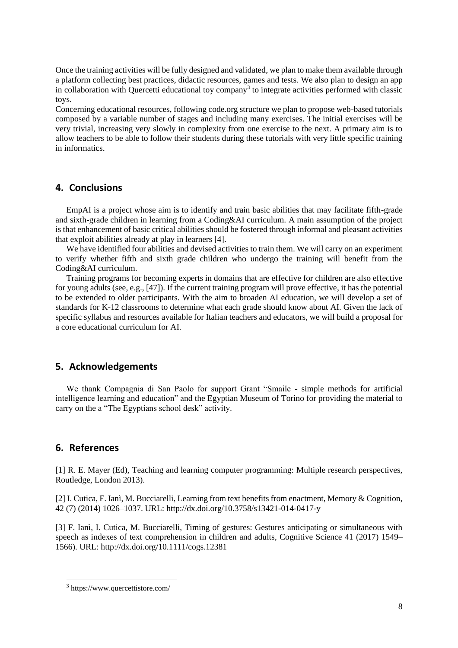Once the training activities will be fully designed and validated, we plan to make them available through a platform collecting best practices, didactic resources, games and tests. We also plan to design an app in collaboration with Quercetti educational toy company<sup>3</sup> to integrate activities performed with classic toys.

Concerning educational resources, following code.org structure we plan to propose web-based tutorials composed by a variable number of stages and including many exercises. The initial exercises will be very trivial, increasing very slowly in complexity from one exercise to the next. A primary aim is to allow teachers to be able to follow their students during these tutorials with very little specific training in informatics.

### **4. Conclusions**

EmpAI is a project whose aim is to identify and train basic abilities that may facilitate fifth-grade and sixth-grade children in learning from a Coding&AI curriculum. A main assumption of the project is that enhancement of basic critical abilities should be fostered through informal and pleasant activities that exploit abilities already at play in learners [4].

We have identified four abilities and devised activities to train them. We will carry on an experiment to verify whether fifth and sixth grade children who undergo the training will benefit from the Coding&AI curriculum.

Training programs for becoming experts in domains that are effective for children are also effective for young adults (see, e.g., [47]). If the current training program will prove effective, it has the potential to be extended to older participants. With the aim to broaden AI education, we will develop a set of standards for K-12 classrooms to determine what each grade should know about AI. Given the lack of specific syllabus and resources available for Italian teachers and educators, we will build a proposal for a core educational curriculum for AI.

### **5. Acknowledgements**

We thank Compagnia di San Paolo for support Grant "Smaile - simple methods for artificial intelligence learning and education" and the Egyptian Museum of Torino for providing the material to carry on the a "The Egyptians school desk" activity.

### **6. References**

[1] R. E. Mayer (Ed), Teaching and learning computer programming: Multiple research perspectives, Routledge, London 2013).

[2] I. Cutica, F. Ianì, M. Bucciarelli, Learning from text benefits from enactment, Memory & Cognition, 42 (7) (2014) 1026–1037. URL[:](http://dx.doi.org/10.3758/s13421-014-0417-y) <http://dx.doi.org/10.3758/s13421-014-0417-y>

[3] F. Ianì, I. Cutica, M. Bucciarelli, Timing of gestures: Gestures anticipating or simultaneous with speech as indexes of text comprehension in children and adults, Cognitive Science 41 (2017) 1549– 1566). URL[:](http://dx.doi.org/10.1111/cogs.12381) <http://dx.doi.org/10.1111/cogs.12381>

<sup>3</sup> https://www.quercettistore.com/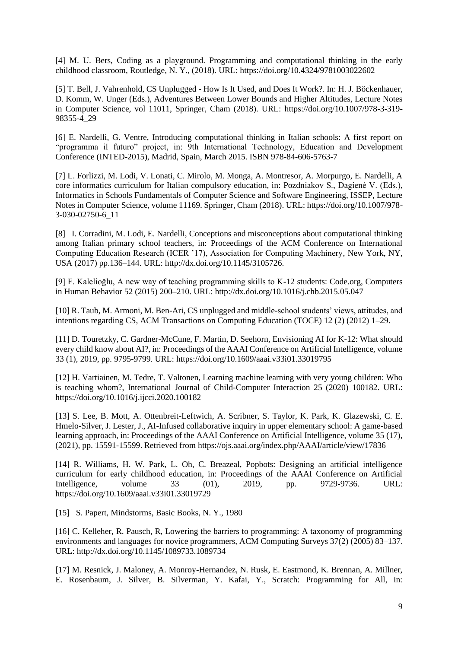[4] M. U. Bers, Coding as a playground. Programming and computational thinking in the early childhood classroom, Routledge, N. Y., (2018). URL: https://doi.org/10.4324/9781003022602

[5] T. Bell, J. Vahrenhold, CS Unplugged - How Is It Used, and Does It Work?. In: H. J. Böckenhauer, D. Komm, W. Unger (Eds.), Adventures Between Lower Bounds and Higher Altitudes, Lecture Notes in Computer Science, vol 11011, Springer, Cham (2018). URL: [https://doi.org/10.1007/978-3-319-](https://doi.org/10.1007/978-3-319-98355-4_29) [98355-4\\_29](https://doi.org/10.1007/978-3-319-98355-4_29)

[6] E. Nardelli, G. Ventre, Introducing computational thinking in Italian schools: A first report on "programma il futuro" project, in: 9th International Technology, Education and Development Conference (INTED-2015), Madrid, Spain, March 2015. ISBN 978-84-606-5763-7

[7] L. Forlizzi, M. Lodi, V. Lonati, C. Mirolo, M. Monga, A. Montresor, A. Morpurgo, E. Nardelli, A core informatics curriculum for Italian compulsory education, in: Pozdniakov S., Dagienė V. (Eds.), Informatics in Schools Fundamentals of Computer Science and Software Engineering, ISSEP, Lecture Notes in Computer Science, volume 11169. Springer, Cham (2018). URL: https://doi.org/10.1007/978- 3-030-02750-6\_11

[8] I. Corradini, M. Lodi, E. Nardelli, Conceptions and misconceptions about computational thinking among Italian primary school teachers, in: Proceedings of the ACM Conference on International Computing Education Research (ICER '17), Association for Computing Machinery, New York, NY, USA (2017) pp.136–144. URL: http://dx.doi.org/10.1145/3105726.

[9] F. Kalelioğlu, A new way of teaching programming skills to K-12 students: Code.org, Computers in Human Behavior 52 (2015) 200–210. URL: http://dx.doi.org/10.1016/j.chb.2015.05.047

[10] R. Taub, M. Armoni, M. Ben-Ari, CS unplugged and middle-school students' views, attitudes, and intentions regarding CS, ACM Transactions on Computing Education (TOCE) 12 (2) (2012) 1–29.

[11] D. Touretzky, C. Gardner-McCune, F. Martin, D. Seehorn, Envisioning AI for K-12: What should every child know about AI?, in: Proceedings of the AAAI Conference on Artificial Intelligence, volume 33 (1), 2019, pp. 9795-9799. URL: https://doi.org/10.1609/aaai.v33i01.33019795

[12] H. Vartiainen, M. Tedre, T. Valtonen, Learning machine learning with very young children: Who is teaching whom?, International Journal of Child-Computer Interaction 25 (2020) 100182. URL: https://doi.org/10.1016/j.ijcci.2020.100182

[13] S. Lee, B. Mott, A. Ottenbreit-Leftwich, A. Scribner, S. Taylor, K. Park, K. Glazewski, C. E. Hmelo-Silver, J. Lester, J., AI-Infused collaborative inquiry in upper elementary school: A game-based learning approach, in: Proceedings of the AAAI Conference on Artificial Intelligence, volume 35 (17), (2021), pp. 15591-15599. Retrieved fro[m](https://ojs.aaai.org/index.php/AAAI/article/view/17836) <https://ojs.aaai.org/index.php/AAAI/article/view/17836>

[14] R. Williams, H. W. Park, L. Oh, C. Breazeal, Popbots: Designing an artificial intelligence curriculum for early childhood education, in: Proceedings of the AAAI Conference on Artificial Intelligence, volume 33 (01), 2019, pp. 9729-9736. URL: https://doi.org/10.1609/aaai.v33i01.33019729

[15] S. Papert, Mindstorms, Basic Books, N. Y., 1980

[16] C. Kelleher, R. Pausch, R, Lowering the barriers to programming: A taxonomy of programming environments and languages for novice programmers, ACM Computing Surveys 37(2) (2005) 83–137. URL: <http://dx.doi.org/10.1145/1089733.1089734>

[17] M. Resnick, J. Maloney, A. Monroy-Hernandez, N. Rusk, E. Eastmond, K. Brennan, A. Millner, E. Rosenbaum, J. Silver, B. Silverman, Y. Kafai, Y., Scratch: Programming for All, in: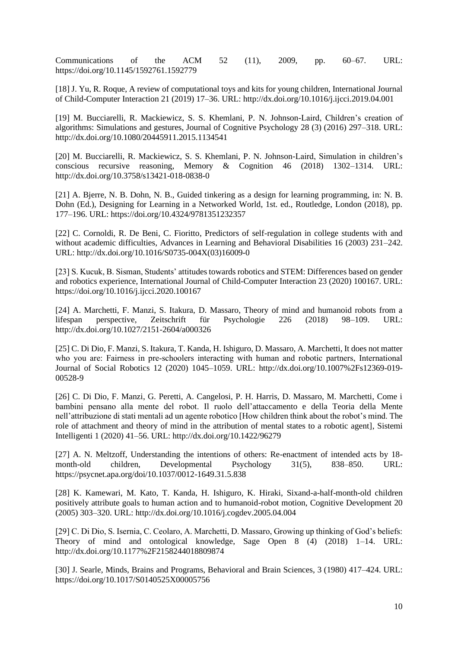Communications of the ACM 52 (11), 2009, pp. 60–67. URL[:](https://doi.org/10.1145/1592761.1592779) <https://doi.org/10.1145/1592761.1592779>

[18] J. Yu, R. Roque, A review of computational toys and kits for young children, International Journal of Child-Computer Interaction 21 (2019) 17–36. URL: <http://dx.doi.org/10.1016/j.ijcci.2019.04.001>

[19] M. Bucciarelli, R. Mackiewicz, S. S. Khemlani, P. N. Johnson-Laird, Children's creation of algorithms: Simulations and gestures, Journal of Cognitive Psychology 28 (3) (2016) 297–318. URL: http://dx.doi.org/10.1080/20445911.2015.1134541

[20] M. Bucciarelli, R. Mackiewicz, S. S. Khemlani, P. N. Johnson-Laird, Simulation in children's conscious recursive reasoning, Memory & Cognition 46 (2018) 1302–1314. URL: http://dx.doi.org/10.3758/s13421-018-0838-0

[21] A. Bjerre, N. B. Dohn, N. B., Guided tinkering as a design for learning programming, in: N. B. Dohn (Ed.), Designing for Learning in a Networked World, 1st. ed., Routledge, London (2018), pp. 177–196. URL: <https://doi.org/10.4324/9781351232357>

[22] C. Cornoldi, R. De Beni, C. Fioritto, Predictors of self-regulation in college students with and without academic difficulties, Advances in Learning and Behavioral Disabilities 16 (2003) 231–242. URL: http://dx.doi.org/10.1016/S0735-004X(03)16009-0

[23] S. Kucuk, B. Sisman, Students' attitudes towards robotics and STEM: Differences based on gender and robotics experience, International Journal of Child-Computer Interaction 23 (2020) 100167. URL: https://doi.org/10.1016/j.ijcci.2020.100167

[24] A. Marchetti, F. Manzi, S. Itakura, D. Massaro, Theory of mind and humanoid robots from a lifespan perspective, Zeitschrift für Psychologie 226 (2018) 98–109. URL: http://dx.doi.org/10.1027/2151-2604/a000326

[25] C. Di Dio, F. Manzi, S. Itakura, T. Kanda, H. Ishiguro, D. Massaro, A. Marchetti, It does not matter who you are: Fairness in pre-schoolers interacting with human and robotic partners, International Journal of Social Robotics 12 (2020) 1045–1059. URL: [http://dx.doi.org/10.1007%2Fs12369-019-](http://dx.doi.org/10.1007%2Fs12369-019-00528-9) [00528-9](http://dx.doi.org/10.1007%2Fs12369-019-00528-9)

[26] C. Di Dio, F. Manzi, G. Peretti, A. Cangelosi, P. H. Harris, D. Massaro, M. Marchetti, Come i bambini pensano alla mente del robot. Il ruolo dell'attaccamento e della Teoria della Mente nell'attribuzione di stati mentali ad un agente robotico [How children think about the robot's mind. The role of attachment and theory of mind in the attribution of mental states to a robotic agent], Sistemi Intelligenti 1 (2020) 41–56. URL: http://dx.doi.org/10.1422/96279

[27] A. N. Meltzoff, Understanding the intentions of others: Re-enactment of intended acts by 18 month-old children, Developmental Psychology 31(5), 838–850. URL: https://psycnet.apa.org/doi/10.1037/0012-1649.31.5.838

[28] K. Kamewari, M. Kato, T. Kanda, H. Ishiguro, K. Hiraki, Sixand-a-half-month-old children positively attribute goals to human action and to humanoid-robot motion, Cognitive Development 20 (2005) 303–320. URL[:](http://dx.doi.org/10.1016/j.cogdev.2005.04.004) <http://dx.doi.org/10.1016/j.cogdev.2005.04.004>

[29] C. Di Dio, S. Isernia, C. Ceolaro, A. Marchetti, D. Massaro, Growing up thinking of God's beliefs: Theory of mind and ontological knowledge, Sage Open 8 (4) (2018) 1–14. URL: http://dx.doi.org/10.1177%2F2158244018809874

[30] J. Searle, Minds, Brains and Programs, Behavioral and Brain Sciences, 3 (1980) 417–424. URL: https://doi.org/10.1017/S0140525X00005756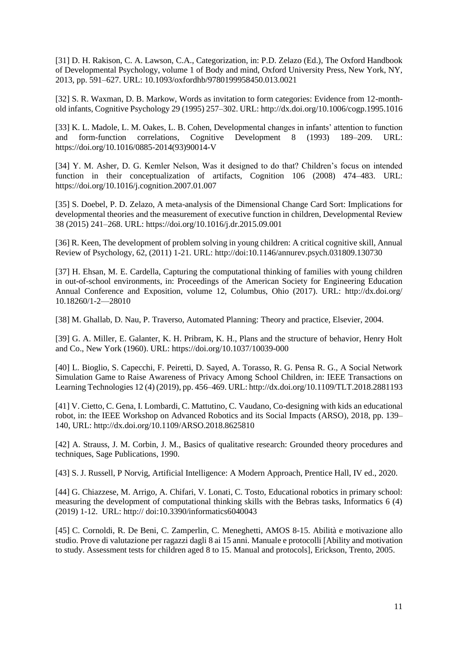[31] D. H. Rakison, C. A. Lawson, C.A., Categorization, in: P.D. Zelazo (Ed.), The Oxford Handbook of Developmental Psychology, volume 1 of Body and mind, Oxford University Press, New York, NY, 2013, pp. 591–627. URL: 10.1093/oxfordhb/9780199958450.013.0021

[32] S. R. Waxman, D. B. Markow, Words as invitation to form categories: Evidence from 12-monthold infants, Cognitive Psychology 29 (1995) 257–302. URL: http://dx.doi.org/10.1006/cogp.1995.1016

[33] K. L. Madole, L. M. Oakes, L. B. Cohen, Developmental changes in infants' attention to function and form-function correlations, Cognitive Development 8 (1993) 189–209. URL[:](https://doi.org/10.1016/0885-2014(93)90014-V) [https://doi.org/10.1016/0885-2014\(93\)90014-V](https://doi.org/10.1016/0885-2014(93)90014-V)

[34] Y. M. Asher, D. G. Kemler Nelson, Was it designed to do that? Children's focus on intended function in their conceptualization of artifacts, Cognition 106 (2008) 474–483. URL[:](https://doi.org/10.1016/j.cognition.2007.01.007) <https://doi.org/10.1016/j.cognition.2007.01.007>

[35] S. Doebel, P. D. Zelazo, A meta-analysis of the Dimensional Change Card Sort: Implications for developmental theories and the measurement of executive function in children, Developmental Review 38 (2015) 241–268. URL: https://doi.org/10.1016/j.dr.2015.09.001

[36] R. Keen, The development of problem solving in young children: A critical cognitive skill, Annual Review of Psychology, 62, (2011) 1-21. URL: http://doi:10.1146/annurev.psych.031809.130730

[37] H. Ehsan, M. E. Cardella, Capturing the computational thinking of families with young children in out-of-school environments, in: Proceedings of the American Society for Engineering Education Annual Conference and Exposition, volume 12, Columbus, Ohio (2017). URL: http://dx.doi.org/ 10.18260/1-2—28010

[38] M. Ghallab, D. Nau, P. Traverso, Automated Planning: Theory and practice, Elsevier, 2004.

[39] G. A. Miller, E. Galanter, K. H. Pribram, K. H., Plans and the structure of behavior, Henry Holt and Co., New York (1960). URL: https://doi.org/10.1037/10039-000

[40] L. Bioglio, S. Capecchi, F. Peiretti, D. Sayed, A. Torasso, R. G. Pensa R. G., A Social Network Simulation Game to Raise Awareness of Privacy Among School Children, in: IEEE Transactions on Learning Technologies 12 (4) (2019), pp. 456–469. URL: http://dx.doi.org/10.1109/TLT.2018.2881193

[41] V. Cietto, C. Gena, I. Lombardi, C. Mattutino, C. Vaudano, Co-designing with kids an educational robot, in: the IEEE Workshop on Advanced Robotics and its Social Impacts (ARSO), 2018, pp. 139– 140, URL[:](http://dx.doi.org/10.1109/ARSO.2018.8625810) <http://dx.doi.org/10.1109/ARSO.2018.8625810>

[42] A. Strauss, J. M. Corbin, J. M., Basics of qualitative research: Grounded theory procedures and techniques, Sage Publications, 1990.

[43] S. J. Russell, P Norvig, Artificial Intelligence: A Modern Approach, Prentice Hall, IV ed., 2020.

[44] G. Chiazzese, M. Arrigo, A. Chifari, V. Lonati, C. Tosto, Educational robotics in primary school: measuring the development of computational thinking skills with the Bebras tasks, Informatics 6 (4) (2019) 1-12. URL: http:// doi:10.3390/informatics6040043

[45] C. Cornoldi, R. De Beni, C. Zamperlin, C. Meneghetti, AMOS 8-15. Abilità e motivazione allo studio. Prove di valutazione per ragazzi dagli 8 ai 15 anni. Manuale e protocolli [Ability and motivation to study. Assessment tests for children aged 8 to 15. Manual and protocols], Erickson, Trento, 2005.